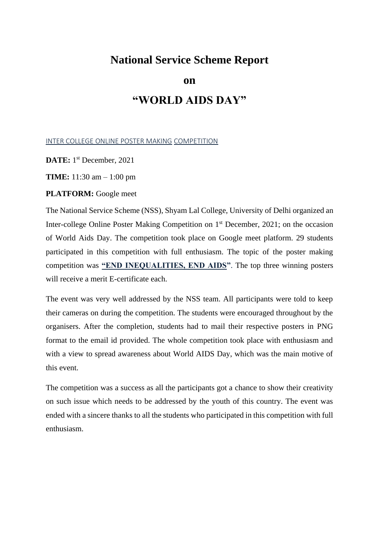## **National Service Scheme Report**

**on**

## **"WORLD AIDS DAY"**

## INTER COLLEGE ONLINE POSTER MAKING COMPETITION

**DATE:** 1 st December, 2021

**TIME:** 11:30 am – 1:00 pm

## **PLATFORM:** Google meet

The National Service Scheme (NSS), Shyam Lal College, University of Delhi organized an Inter-college Online Poster Making Competition on 1<sup>st</sup> December, 2021; on the occasion of World Aids Day. The competition took place on Google meet platform. 29 students participated in this competition with full enthusiasm. The topic of the poster making competition was **"END INEQUALITIES, END AIDS"**. The top three winning posters will receive a merit E-certificate each.

The event was very well addressed by the NSS team. All participants were told to keep their cameras on during the competition. The students were encouraged throughout by the organisers. After the completion, students had to mail their respective posters in PNG format to the email id provided. The whole competition took place with enthusiasm and with a view to spread awareness about World AIDS Day, which was the main motive of this event.

The competition was a success as all the participants got a chance to show their creativity on such issue which needs to be addressed by the youth of this country. The event was ended with a sincere thanks to all the students who participated in this competition with full enthusiasm.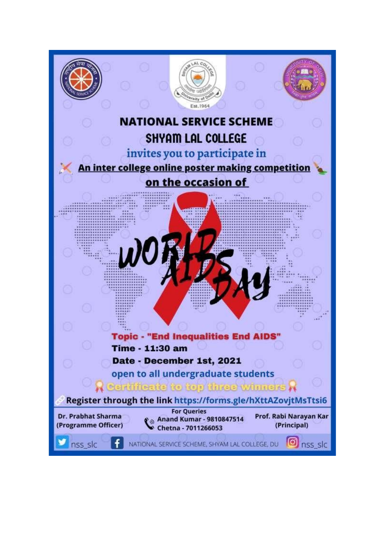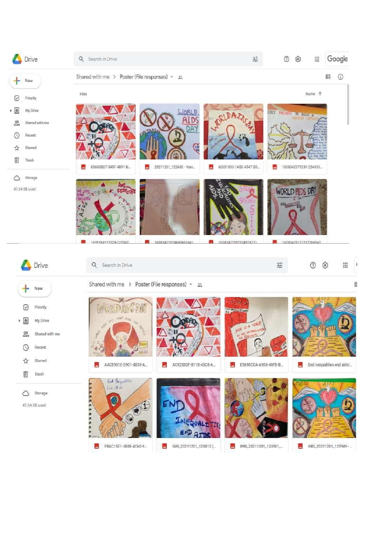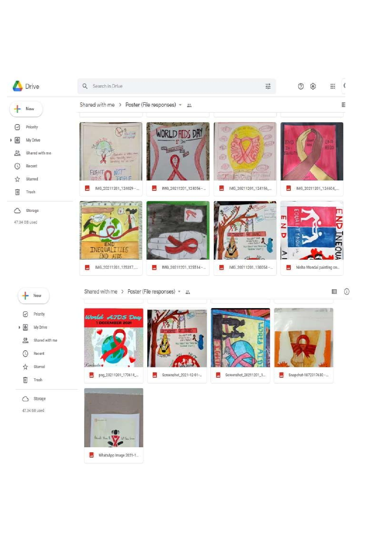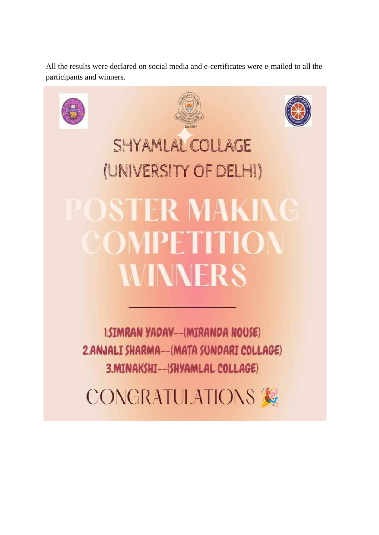All the results were declared on social media and e-certificates were e-mailed to all the participants and winners.



2.ANJALI SHARMA--(MATA SUNDARI COLLAGE) 3.MINAKSHI--(SHYAMLAL COLLAGE)

CONGRATULATIONS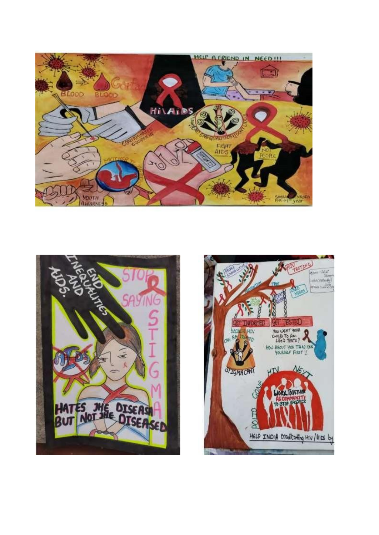



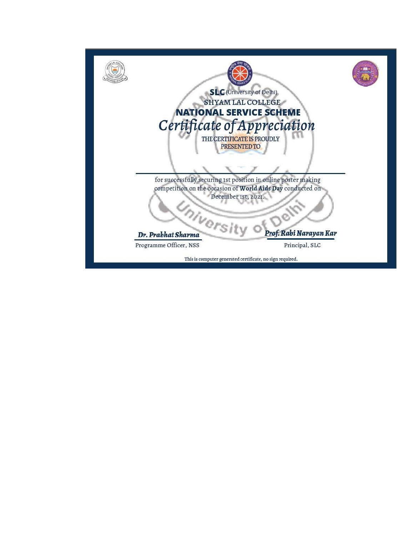